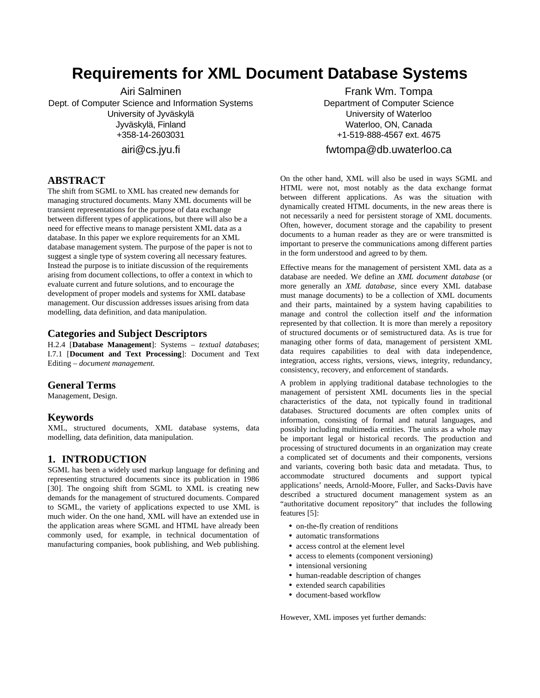# **Requirements for XML Document Database Systems**

Airi Salminen Dept. of Computer Science and Information Systems University of Jyväskylä Jyväskylä, Finland +358-14-2603031

airi@cs.jyu.fi

## **ABSTRACT**

The shift from SGML to XML has created new demands for managing structured documents. Many XML documents will be transient representations for the purpose of data exchange between different types of applications, but there will also be a need for effective means to manage persistent XML data as a database. In this paper we explore requirements for an XML database management system. The purpose of the paper is not to suggest a single type of system covering all necessary features. Instead the purpose is to initiate discussion of the requirements arising from document collections, to offer a context in which to evaluate current and future solutions, and to encourage the development of proper models and systems for XML database management. Our discussion addresses issues arising from data modelling, data definition, and data manipulation.

#### **Categories and Subject Descriptors**

H.2.4 [**Database Management**]: Systems – *textual databases*; I.7.1 [**Document and Text Processing**]: Document and Text Editing – *document management.*

#### **General Terms**

Management, Design.

#### **Keywords**

XML, structured documents, XML database systems, data modelling, data definition, data manipulation.

#### **1. INTRODUCTION**

SGML has been a widely used markup language for defining and representing structured documents since its publication in 1986 [30]. The ongoing shift from SGML to XML is creating new demands for the management of structured documents. Compared to SGML, the variety of applications expected to use XML is much wider. On the one hand, XML will have an extended use in the application areas where SGML and HTML have already been commonly used, for example, in technical documentation of manufacturing companies, book publishing, and Web publishing.

Frank Wm. Tompa Department of Computer Science University of Waterloo Waterloo, ON, Canada +1-519-888-4567 ext. 4675

## fwtompa@db.uwaterloo.ca

On the other hand, XML will also be used in ways SGML and HTML were not, most notably as the data exchange format between different applications. As was the situation with dynamically created HTML documents, in the new areas there is not necessarily a need for persistent storage of XML documents. Often, however, document storage and the capability to present documents to a human reader as they are or were transmitted is important to preserve the communications among different parties in the form understood and agreed to by them.

Effective means for the management of persistent XML data as a database are needed. We define an *XML document database* (or more generally an *XML database*, since every XML database must manage documents) to be a collection of XML documents and their parts, maintained by a system having capabilities to manage and control the collection itself *and* the information represented by that collection. It is more than merely a repository of structured documents or of semistructured data. As is true for managing other forms of data, management of persistent XML data requires capabilities to deal with data independence, integration, access rights, versions, views, integrity, redundancy, consistency, recovery, and enforcement of standards.

A problem in applying traditional database technologies to the management of persistent XML documents lies in the special characteristics of the data, not typically found in traditional databases. Structured documents are often complex units of information, consisting of formal and natural languages, and possibly including multimedia entities. The units as a whole may be important legal or historical records. The production and processing of structured documents in an organization may create a complicated set of documents and their components, versions and variants, covering both basic data and metadata. Thus, to accommodate structured documents and support typical applications' needs, Arnold-Moore, Fuller, and Sacks-Davis have described a structured document management system as an "authoritative document repository" that includes the following features [5]:

- on-the-fly creation of renditions
- automatic transformations
- access control at the element level
- access to elements (component versioning)
- intensional versioning
- human-readable description of changes
- extended search capabilities
- document-based workflow

However, XML imposes yet further demands: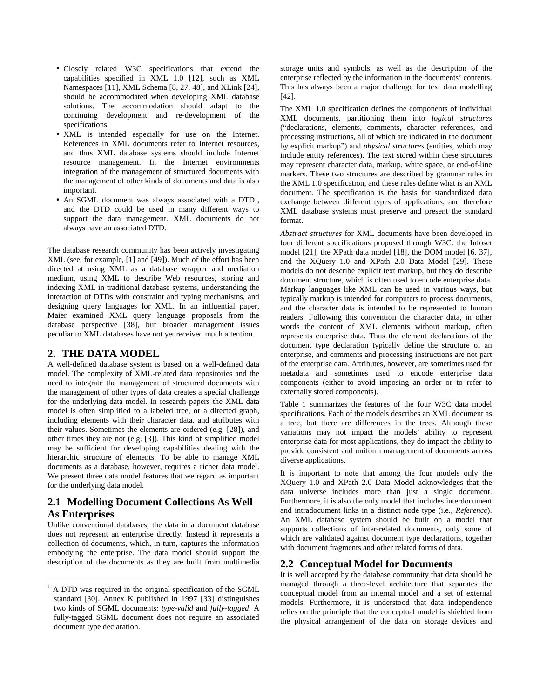- Closely related W3C specifications that extend the capabilities specified in XML 1.0 [12], such as XML Namespaces [11], XML Schema [8, 27, 48], and XLink [24], should be accommodated when developing XML database solutions. The accommodation should adapt to the continuing development and re-development of the specifications.
- XML is intended especially for use on the Internet. References in XML documents refer to Internet resources, and thus XML database systems should include Internet resource management. In the Internet environments integration of the management of structured documents with the management of other kinds of documents and data is also important.
- An SGML document was always associated with a DTD<sup>1</sup>, and the DTD could be used in many different ways to support the data management. XML documents do not always have an associated DTD.

The database research community has been actively investigating XML (see, for example, [1] and [49]). Much of the effort has been directed at using XML as a database wrapper and mediation medium, using XML to describe Web resources, storing and indexing XML in traditional database systems, understanding the interaction of DTDs with constraint and typing mechanisms, and designing query languages for XML. In an influential paper, Maier examined XML query language proposals from the database perspective [38], but broader management issues peculiar to XML databases have not yet received much attention.

#### **2. THE DATA MODEL**

 $\overline{a}$ 

A well-defined database system is based on a well-defined data model. The complexity of XML-related data repositories and the need to integrate the management of structured documents with the management of other types of data creates a special challenge for the underlying data model. In research papers the XML data model is often simplified to a labeled tree, or a directed graph, including elements with their character data, and attributes with their values. Sometimes the elements are ordered (e.g. [28]), and other times they are not (e.g. [3]). This kind of simplified model may be sufficient for developing capabilities dealing with the hierarchic structure of elements. To be able to manage XML documents as a database, however, requires a richer data model. We present three data model features that we regard as important for the underlying data model.

# **2.1 Modelling Document Collections As Well As Enterprises**

Unlike conventional databases, the data in a document database does not represent an enterprise directly. Instead it represents a collection of documents, which, in turn, captures the information embodying the enterprise. The data model should support the description of the documents as they are built from multimedia

storage units and symbols, as well as the description of the enterprise reflected by the information in the documents' contents. This has always been a major challenge for text data modelling [42].

The XML 1.0 specification defines the components of individual XML documents, partitioning them into *logical structures* ("declarations, elements, comments, character references, and processing instructions, all of which are indicated in the document by explicit markup") and *physical structures* (entities, which may include entity references). The text stored within these structures may represent character data, markup, white space, or end-of-line markers. These two structures are described by grammar rules in the XML 1.0 specification, and these rules define what is an XML document. The specification is the basis for standardized data exchange between different types of applications, and therefore XML database systems must preserve and present the standard format.

*Abstract structures* for XML documents have been developed in four different specifications proposed through W3C: the Infoset model [21], the XPath data model [18], the DOM model [6, 37], and the XQuery 1.0 and XPath 2.0 Data Model [29]. These models do not describe explicit text markup, but they do describe document structure, which is often used to encode enterprise data. Markup languages like XML can be used in various ways, but typically markup is intended for computers to process documents, and the character data is intended to be represented to human readers. Following this convention the character data, in other words the content of XML elements without markup, often represents enterprise data. Thus the element declarations of the document type declaration typically define the structure of an enterprise, and comments and processing instructions are not part of the enterprise data. Attributes, however, are sometimes used for metadata and sometimes used to encode enterprise data components (either to avoid imposing an order or to refer to externally stored components).

Table 1 summarizes the features of the four W3C data model specifications. Each of the models describes an XML document as a tree, but there are differences in the trees. Although these variations may not impact the models' ability to represent enterprise data for most applications, they do impact the ability to provide consistent and uniform management of documents across diverse applications.

It is important to note that among the four models only the XQuery 1.0 and XPath 2.0 Data Model acknowledges that the data universe includes more than just a single document. Furthermore, it is also the only model that includes interdocument and intradocument links in a distinct node type (i.e., *Reference*). An XML database system should be built on a model that supports collections of inter-related documents, only some of which are validated against document type declarations, together with document fragments and other related forms of data.

#### **2.2 Conceptual Model for Documents**

It is well accepted by the database community that data should be managed through a three-level architecture that separates the conceptual model from an internal model and a set of external models. Furthermore, it is understood that data independence relies on the principle that the conceptual model is shielded from the physical arrangement of the data on storage devices and

 $1$  A DTD was required in the original specification of the SGML standard [30]. Annex K published in 1997 [33] distinguishes two kinds of SGML documents: *type-valid* and *fully-tagged*. A fully-tagged SGML document does not require an associated document type declaration.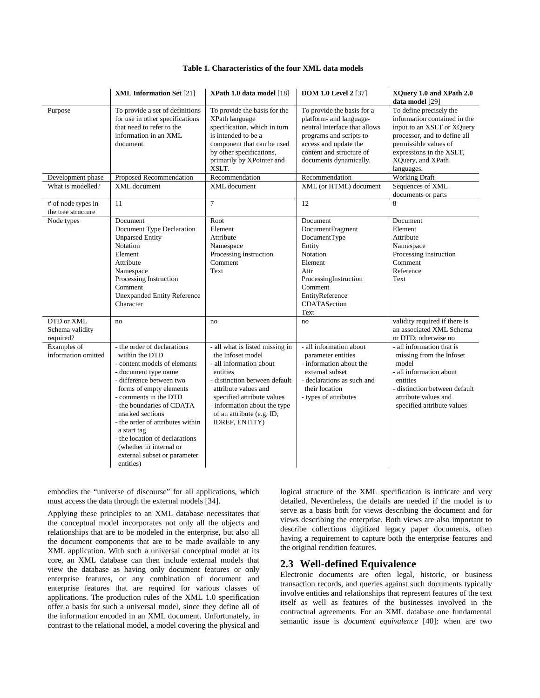|                                            | <b>XML Information Set [21]</b>                                                                                                                                                                                                                                                                                                                                                                    | XPath 1.0 data model [18]                                                                                                                                                                                                                                         | <b>DOM 1.0 Level 2</b> [37]                                                                                                                                                                      | XQuery 1.0 and XPath 2.0<br>data model [29]                                                                                                                                                                   |
|--------------------------------------------|----------------------------------------------------------------------------------------------------------------------------------------------------------------------------------------------------------------------------------------------------------------------------------------------------------------------------------------------------------------------------------------------------|-------------------------------------------------------------------------------------------------------------------------------------------------------------------------------------------------------------------------------------------------------------------|--------------------------------------------------------------------------------------------------------------------------------------------------------------------------------------------------|---------------------------------------------------------------------------------------------------------------------------------------------------------------------------------------------------------------|
| Purpose                                    | To provide a set of definitions<br>for use in other specifications<br>that need to refer to the<br>information in an XML<br>document.                                                                                                                                                                                                                                                              | To provide the basis for the<br>XPath language<br>specification, which in turn<br>is intended to be a<br>component that can be used<br>by other specifications,<br>primarily by XPointer and<br>XSLT.                                                             | To provide the basis for a<br>platform- and language-<br>neutral interface that allows<br>programs and scripts to<br>access and update the<br>content and structure of<br>documents dynamically. | To define precisely the<br>information contained in the<br>input to an XSLT or XQuery<br>processor, and to define all<br>permissible values of<br>expressions in the XSLT,<br>XQuery, and XPath<br>languages. |
| Development phase                          | Proposed Recommendation                                                                                                                                                                                                                                                                                                                                                                            | Recommendation                                                                                                                                                                                                                                                    | Recommendation                                                                                                                                                                                   | <b>Working Draft</b>                                                                                                                                                                                          |
| What is modelled?                          | XML document                                                                                                                                                                                                                                                                                                                                                                                       | XML document                                                                                                                                                                                                                                                      | XML (or HTML) document                                                                                                                                                                           | Sequences of XML<br>documents or parts                                                                                                                                                                        |
| # of node types in<br>the tree structure   | 11                                                                                                                                                                                                                                                                                                                                                                                                 | $\overline{7}$                                                                                                                                                                                                                                                    | 12                                                                                                                                                                                               | 8                                                                                                                                                                                                             |
| Node types                                 | Document<br>Document Type Declaration<br><b>Unparsed Entity</b><br>Notation<br>Element<br>Attribute<br>Namespace<br>Processing Instruction<br>Comment<br><b>Unexpanded Entity Reference</b><br>Character                                                                                                                                                                                           | Root<br>Element<br>Attribute<br>Namespace<br>Processing instruction<br>Comment<br>Text                                                                                                                                                                            | Document<br>DocumentFragment<br>DocumentType<br>Entity<br>Notation<br>Element<br>Attr<br>ProcessingInstruction<br>Comment<br>EntityReference<br>CDATASection<br>Text                             | Document<br>Element<br>Attribute<br>Namespace<br>Processing instruction<br>Comment<br>Reference<br>Text                                                                                                       |
| DTD or XML<br>Schema validity<br>required? | no                                                                                                                                                                                                                                                                                                                                                                                                 | no                                                                                                                                                                                                                                                                | no                                                                                                                                                                                               | validity required if there is<br>an associated XML Schema<br>or DTD; otherwise no                                                                                                                             |
| Examples of<br>information omitted         | - the order of declarations<br>within the DTD<br>- content models of elements<br>- document type name<br>- difference between two<br>forms of empty elements<br>- comments in the DTD<br>- the boundaries of CDATA<br>marked sections<br>- the order of attributes within<br>a start tag<br>- the location of declarations<br>(whether in internal or<br>external subset or parameter<br>entities) | - all what is listed missing in<br>the Infoset model<br>- all information about<br>entities<br>- distinction between default<br>attribute values and<br>specified attribute values<br>- information about the type<br>of an attribute (e.g. ID,<br>IDREF, ENTITY) | - all information about<br>parameter entities<br>- information about the<br>external subset<br>- declarations as such and<br>their location<br>- types of attributes                             | - all information that is<br>missing from the Infoset<br>model<br>- all information about<br>entities<br>- distinction between default<br>attribute values and<br>specified attribute values                  |

embodies the "universe of discourse" for all applications, which must access the data through the external models [34].

Applying these principles to an XML database necessitates that the conceptual model incorporates not only all the objects and relationships that are to be modeled in the enterprise, but also all the document components that are to be made available to any XML application. With such a universal conceptual model at its core, an XML database can then include external models that view the database as having only document features or only enterprise features, or any combination of document and enterprise features that are required for various classes of applications. The production rules of the XML 1.0 specification offer a basis for such a universal model, since they define all of the information encoded in an XML document. Unfortunately, in contrast to the relational model, a model covering the physical and logical structure of the XML specification is intricate and very detailed. Nevertheless, the details are needed if the model is to serve as a basis both for views describing the document and for views describing the enterprise. Both views are also important to describe collections digitized legacy paper documents, often having a requirement to capture both the enterprise features and the original rendition features.

#### **2.3 Well-defined Equivalence**

Electronic documents are often legal, historic, or business transaction records, and queries against such documents typically involve entities and relationships that represent features of the text itself as well as features of the businesses involved in the contractual agreements. For an XML database one fundamental semantic issue is *document equivalence* [40]: when are two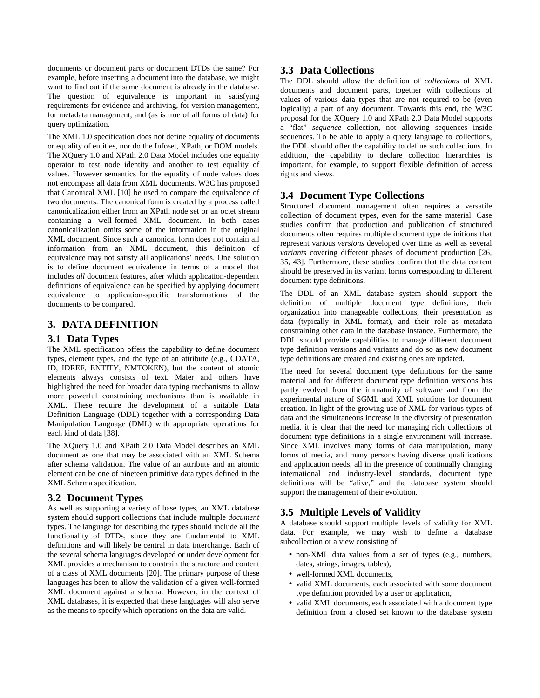documents or document parts or document DTDs the same? For example, before inserting a document into the database, we might want to find out if the same document is already in the database. The question of equivalence is important in satisfying requirements for evidence and archiving, for version management, for metadata management, and (as is true of all forms of data) for query optimization.

The XML 1.0 specification does not define equality of documents or equality of entities, nor do the Infoset, XPath, or DOM models. The XQuery 1.0 and XPath 2.0 Data Model includes one equality operator to test node identity and another to test equality of values. However semantics for the equality of node values does not encompass all data from XML documents. W3C has proposed that Canonical XML [10] be used to compare the equivalence of two documents. The canonical form is created by a process called canonicalization either from an XPath node set or an octet stream containing a well-formed XML document. In both cases canonicalization omits some of the information in the original XML document. Since such a canonical form does not contain all information from an XML document, this definition of equivalence may not satisfy all applications' needs. One solution is to define document equivalence in terms of a model that includes *all* document features, after which application-dependent definitions of equivalence can be specified by applying document equivalence to application-specific transformations of the documents to be compared.

# **3. DATA DEFINITION**

#### **3.1 Data Types**

The XML specification offers the capability to define document types, element types, and the type of an attribute (e.g., CDATA, ID, IDREF, ENTITY, NMTOKEN), but the content of atomic elements always consists of text. Maier and others have highlighted the need for broader data typing mechanisms to allow more powerful constraining mechanisms than is available in XML. These require the development of a suitable Data Definition Language (DDL) together with a corresponding Data Manipulation Language (DML) with appropriate operations for each kind of data [38].

The XQuery 1.0 and XPath 2.0 Data Model describes an XML document as one that may be associated with an XML Schema after schema validation. The value of an attribute and an atomic element can be one of nineteen primitive data types defined in the XML Schema specification.

#### **3.2 Document Types**

As well as supporting a variety of base types, an XML database system should support collections that include multiple *document* types. The language for describing the types should include all the functionality of DTDs, since they are fundamental to XML definitions and will likely be central in data interchange. Each of the several schema languages developed or under development for XML provides a mechanism to constrain the structure and content of a class of XML documents [20]. The primary purpose of these languages has been to allow the validation of a given well-formed XML document against a schema. However, in the context of XML databases, it is expected that these languages will also serve as the means to specify which operations on the data are valid.

#### **3.3 Data Collections**

The DDL should allow the definition of *collections* of XML documents and document parts, together with collections of values of various data types that are not required to be (even logically) a part of any document. Towards this end, the W3C proposal for the XQuery 1.0 and XPath 2.0 Data Model supports a "flat" *sequence* collection, not allowing sequences inside sequences. To be able to apply a query language to collections, the DDL should offer the capability to define such collections. In addition, the capability to declare collection hierarchies is important, for example, to support flexible definition of access rights and views.

#### **3.4 Document Type Collections**

Structured document management often requires a versatile collection of document types, even for the same material. Case studies confirm that production and publication of structured documents often requires multiple document type definitions that represent various *versions* developed over time as well as several *variants* covering different phases of document production [26, 35, 43]. Furthermore, these studies confirm that the data content should be preserved in its variant forms corresponding to different document type definitions.

The DDL of an XML database system should support the definition of multiple document type definitions, their organization into manageable collections, their presentation as data (typically in XML format), and their role as metadata constraining other data in the database instance. Furthermore, the DDL should provide capabilities to manage different document type definition versions and variants and do so as new document type definitions are created and existing ones are updated.

The need for several document type definitions for the same material and for different document type definition versions has partly evolved from the immaturity of software and from the experimental nature of SGML and XML solutions for document creation. In light of the growing use of XML for various types of data and the simultaneous increase in the diversity of presentation media, it is clear that the need for managing rich collections of document type definitions in a single environment will increase. Since XML involves many forms of data manipulation, many forms of media, and many persons having diverse qualifications and application needs, all in the presence of continually changing international and industry-level standards, document type definitions will be "alive," and the database system should support the management of their evolution.

#### **3.5 Multiple Levels of Validity**

A database should support multiple levels of validity for XML data. For example, we may wish to define a database subcollection or a view consisting of

- non-XML data values from a set of types (e.g., numbers, dates, strings, images, tables),
- well-formed XML documents,
- valid XML documents, each associated with some document type definition provided by a user or application,
- valid XML documents, each associated with a document type definition from a closed set known to the database system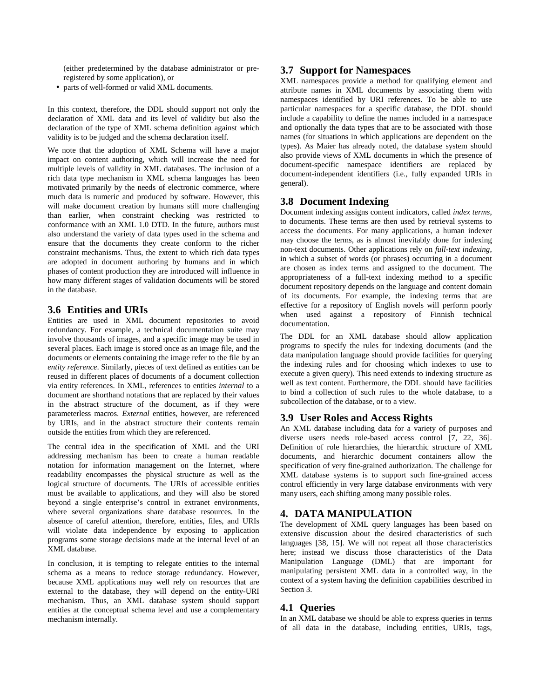(either predetermined by the database administrator or preregistered by some application), or

• parts of well-formed or valid XML documents.

In this context, therefore, the DDL should support not only the declaration of XML data and its level of validity but also the declaration of the type of XML schema definition against which validity is to be judged and the schema declaration itself.

We note that the adoption of XML Schema will have a major impact on content authoring, which will increase the need for multiple levels of validity in XML databases. The inclusion of a rich data type mechanism in XML schema languages has been motivated primarily by the needs of electronic commerce, where much data is numeric and produced by software. However, this will make document creation by humans still more challenging than earlier, when constraint checking was restricted to conformance with an XML 1.0 DTD. In the future, authors must also understand the variety of data types used in the schema and ensure that the documents they create conform to the richer constraint mechanisms. Thus, the extent to which rich data types are adopted in document authoring by humans and in which phases of content production they are introduced will influence in how many different stages of validation documents will be stored in the database.

# **3.6 Entities and URIs**

Entities are used in XML document repositories to avoid redundancy. For example, a technical documentation suite may involve thousands of images, and a specific image may be used in several places. Each image is stored once as an image file, and the documents or elements containing the image refer to the file by an *entity reference*. Similarly, pieces of text defined as entities can be reused in different places of documents of a document collection via entity references. In XML, references to entities *internal* to a document are shorthand notations that are replaced by their values in the abstract structure of the document, as if they were parameterless macros. *External* entities, however, are referenced by URIs, and in the abstract structure their contents remain outside the entities from which they are referenced.

The central idea in the specification of XML and the URI addressing mechanism has been to create a human readable notation for information management on the Internet, where readability encompasses the physical structure as well as the logical structure of documents. The URIs of accessible entities must be available to applications, and they will also be stored beyond a single enterprise's control in extranet environments, where several organizations share database resources. In the absence of careful attention, therefore, entities, files, and URIs will violate data independence by exposing to application programs some storage decisions made at the internal level of an XML database.

In conclusion, it is tempting to relegate entities to the internal schema as a means to reduce storage redundancy. However, because XML applications may well rely on resources that are external to the database, they will depend on the entity-URI mechanism. Thus, an XML database system should support entities at the conceptual schema level and use a complementary mechanism internally.

## **3.7 Support for Namespaces**

XML namespaces provide a method for qualifying element and attribute names in XML documents by associating them with namespaces identified by URI references. To be able to use particular namespaces for a specific database, the DDL should include a capability to define the names included in a namespace and optionally the data types that are to be associated with those names (for situations in which applications are dependent on the types). As Maier has already noted, the database system should also provide views of XML documents in which the presence of document-specific namespace identifiers are replaced by document-independent identifiers (i.e., fully expanded URIs in general).

# **3.8 Document Indexing**

Document indexing assigns content indicators, called *index terms*, to documents. These terms are then used by retrieval systems to access the documents. For many applications, a human indexer may choose the terms, as is almost inevitably done for indexing non-text documents. Other applications rely on *full-text indexing*, in which a subset of words (or phrases) occurring in a document are chosen as index terms and assigned to the document. The appropriateness of a full-text indexing method to a specific document repository depends on the language and content domain of its documents. For example, the indexing terms that are effective for a repository of English novels will perform poorly when used against a repository of Finnish technical documentation.

The DDL for an XML database should allow application programs to specify the rules for indexing documents (and the data manipulation language should provide facilities for querying the indexing rules and for choosing which indexes to use to execute a given query). This need extends to indexing structure as well as text content. Furthermore, the DDL should have facilities to bind a collection of such rules to the whole database, to a subcollection of the database, or to a view.

# **3.9 User Roles and Access Rights**

An XML database including data for a variety of purposes and diverse users needs role-based access control [7, 22, 36]. Definition of role hierarchies, the hierarchic structure of XML documents, and hierarchic document containers allow the specification of very fine-grained authorization. The challenge for XML database systems is to support such fine-grained access control efficiently in very large database environments with very many users, each shifting among many possible roles.

# **4. DATA MANIPULATION**

The development of XML query languages has been based on extensive discussion about the desired characteristics of such languages [38, 15]. We will not repeat all those characteristics here; instead we discuss those characteristics of the Data Manipulation Language (DML) that are important for manipulating persistent XML data in a controlled way, in the context of a system having the definition capabilities described in Section 3.

# **4.1 Queries**

In an XML database we should be able to express queries in terms of all data in the database, including entities, URIs, tags,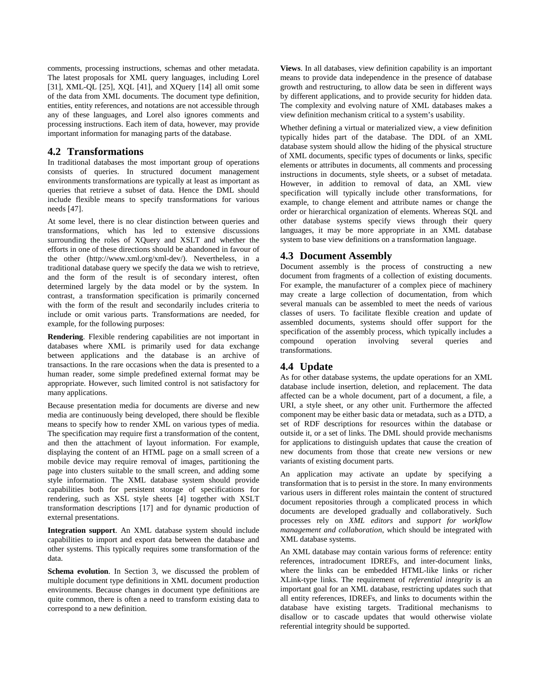comments, processing instructions, schemas and other metadata. The latest proposals for XML query languages, including Lorel [31], XML-QL [25], XQL [41], and XQuery [14] all omit some of the data from XML documents. The document type definition, entities, entity references, and notations are not accessible through any of these languages, and Lorel also ignores comments and processing instructions. Each item of data, however, may provide important information for managing parts of the database.

#### **4.2 Transformations**

In traditional databases the most important group of operations consists of queries. In structured document management environments transformations are typically at least as important as queries that retrieve a subset of data. Hence the DML should include flexible means to specify transformations for various needs [47].

At some level, there is no clear distinction between queries and transformations, which has led to extensive discussions surrounding the roles of XQuery and XSLT and whether the efforts in one of these directions should be abandoned in favour of the other (http://www.xml.org/xml-dev/). Nevertheless, in a traditional database query we specify the data we wish to retrieve, and the form of the result is of secondary interest, often determined largely by the data model or by the system. In contrast, a transformation specification is primarily concerned with the form of the result and secondarily includes criteria to include or omit various parts. Transformations are needed, for example, for the following purposes:

**Rendering**. Flexible rendering capabilities are not important in databases where XML is primarily used for data exchange between applications and the database is an archive of transactions. In the rare occasions when the data is presented to a human reader, some simple predefined external format may be appropriate. However, such limited control is not satisfactory for many applications.

Because presentation media for documents are diverse and new media are continuously being developed, there should be flexible means to specify how to render XML on various types of media. The specification may require first a transformation of the content, and then the attachment of layout information. For example, displaying the content of an HTML page on a small screen of a mobile device may require removal of images, partitioning the page into clusters suitable to the small screen, and adding some style information. The XML database system should provide capabilities both for persistent storage of specifications for rendering, such as XSL style sheets [4] together with XSLT transformation descriptions [17] and for dynamic production of external presentations.

**Integration support**. An XML database system should include capabilities to import and export data between the database and other systems. This typically requires some transformation of the data.

**Schema evolution**. In Section 3, we discussed the problem of multiple document type definitions in XML document production environments. Because changes in document type definitions are quite common, there is often a need to transform existing data to correspond to a new definition.

**Views**. In all databases, view definition capability is an important means to provide data independence in the presence of database growth and restructuring, to allow data be seen in different ways by different applications, and to provide security for hidden data. The complexity and evolving nature of XML databases makes a view definition mechanism critical to a system's usability.

Whether defining a virtual or materialized view, a view definition typically hides part of the database. The DDL of an XML database system should allow the hiding of the physical structure of XML documents, specific types of documents or links, specific elements or attributes in documents, all comments and processing instructions in documents, style sheets, or a subset of metadata. However, in addition to removal of data, an XML view specification will typically include other transformations, for example, to change element and attribute names or change the order or hierarchical organization of elements. Whereas SQL and other database systems specify views through their query languages, it may be more appropriate in an XML database system to base view definitions on a transformation language.

# **4.3 Document Assembly**

Document assembly is the process of constructing a new document from fragments of a collection of existing documents. For example, the manufacturer of a complex piece of machinery may create a large collection of documentation, from which several manuals can be assembled to meet the needs of various classes of users. To facilitate flexible creation and update of assembled documents, systems should offer support for the specification of the assembly process, which typically includes a compound operation involving several queries and transformations.

# **4.4 Update**

As for other database systems, the update operations for an XML database include insertion, deletion, and replacement. The data affected can be a whole document, part of a document, a file, a URI, a style sheet, or any other unit. Furthermore the affected component may be either basic data or metadata, such as a DTD, a set of RDF descriptions for resources within the database or outside it, or a set of links. The DML should provide mechanisms for applications to distinguish updates that cause the creation of new documents from those that create new versions or new variants of existing document parts.

An application may activate an update by specifying a transformation that is to persist in the store. In many environments various users in different roles maintain the content of structured document repositories through a complicated process in which documents are developed gradually and collaboratively. Such processes rely on *XML editors* and *support for workflow management and collaboration*, which should be integrated with XML database systems.

An XML database may contain various forms of reference: entity references, intradocument IDREFs, and inter-document links, where the links can be embedded HTML-like links or richer XLink-type links. The requirement of *referential integrity* is an important goal for an XML database, restricting updates such that all entity references, IDREFs, and links to documents within the database have existing targets. Traditional mechanisms to disallow or to cascade updates that would otherwise violate referential integrity should be supported.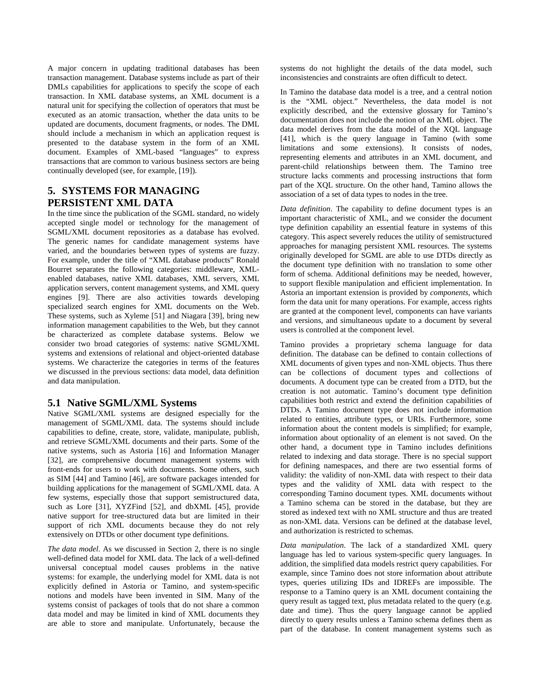A major concern in updating traditional databases has been transaction management. Database systems include as part of their DMLs capabilities for applications to specify the scope of each transaction. In XML database systems, an XML document is a natural unit for specifying the collection of operators that must be executed as an atomic transaction, whether the data units to be updated are documents, document fragments, or nodes. The DML should include a mechanism in which an application request is presented to the database system in the form of an XML document. Examples of XML-based "languages" to express transactions that are common to various business sectors are being continually developed (see, for example, [19]).

# **5. SYSTEMS FOR MANAGING PERSISTENT XML DATA**

In the time since the publication of the SGML standard, no widely accepted single model or technology for the management of SGML/XML document repositories as a database has evolved. The generic names for candidate management systems have varied, and the boundaries between types of systems are fuzzy. For example, under the title of "XML database products" Ronald Bourret separates the following categories: middleware, XMLenabled databases, native XML databases, XML servers, XML application servers, content management systems, and XML query engines [9]. There are also activities towards developing specialized search engines for XML documents on the Web. These systems, such as Xyleme [51] and Niagara [39], bring new information management capabilities to the Web, but they cannot be characterized as complete database systems. Below we consider two broad categories of systems: native SGML/XML systems and extensions of relational and object-oriented database systems. We characterize the categories in terms of the features we discussed in the previous sections: data model, data definition and data manipulation.

#### **5.1 Native SGML/XML Systems**

Native SGML/XML systems are designed especially for the management of SGML/XML data. The systems should include capabilities to define, create, store, validate, manipulate, publish, and retrieve SGML/XML documents and their parts. Some of the native systems, such as Astoria [16] and Information Manager [32], are comprehensive document management systems with front-ends for users to work with documents. Some others, such as SIM [44] and Tamino [46], are software packages intended for building applications for the management of SGML/XML data. A few systems, especially those that support semistructured data, such as Lore [31], XYZFind [52], and dbXML [45], provide native support for tree-structured data but are limited in their support of rich XML documents because they do not rely extensively on DTDs or other document type definitions.

*The data model*. As we discussed in Section 2, there is no single well-defined data model for XML data. The lack of a well-defined universal conceptual model causes problems in the native systems: for example, the underlying model for XML data is not explicitly defined in Astoria or Tamino, and system-specific notions and models have been invented in SIM. Many of the systems consist of packages of tools that do not share a common data model and may be limited in kind of XML documents they are able to store and manipulate. Unfortunately, because the

systems do not highlight the details of the data model, such inconsistencies and constraints are often difficult to detect.

In Tamino the database data model is a tree, and a central notion is the "XML object." Nevertheless, the data model is not explicitly described, and the extensive glossary for Tamino's documentation does not include the notion of an XML object. The data model derives from the data model of the XQL language [41], which is the query language in Tamino (with some limitations and some extensions). It consists of nodes, representing elements and attributes in an XML document, and parent-child relationships between them. The Tamino tree structure lacks comments and processing instructions that form part of the XQL structure. On the other hand, Tamino allows the association of a set of data types to nodes in the tree.

*Data definition*. The capability to define document types is an important characteristic of XML, and we consider the document type definition capability an essential feature in systems of this category. This aspect severely reduces the utility of semistructured approaches for managing persistent XML resources. The systems originally developed for SGML are able to use DTDs directly as the document type definition with no translation to some other form of schema. Additional definitions may be needed, however, to support flexible manipulation and efficient implementation. In Astoria an important extension is provided by *components*, which form the data unit for many operations. For example, access rights are granted at the component level, components can have variants and versions, and simultaneous update to a document by several users is controlled at the component level.

Tamino provides a proprietary schema language for data definition. The database can be defined to contain collections of XML documents of given types and non-XML objects. Thus there can be collections of document types and collections of documents. A document type can be created from a DTD, but the creation is not automatic. Tamino's document type definition capabilities both restrict and extend the definition capabilities of DTDs. A Tamino document type does not include information related to entities, attribute types, or URIs. Furthermore, some information about the content models is simplified; for example, information about optionality of an element is not saved. On the other hand, a document type in Tamino includes definitions related to indexing and data storage. There is no special support for defining namespaces, and there are two essential forms of validity: the validity of non-XML data with respect to their data types and the validity of XML data with respect to the corresponding Tamino document types. XML documents without a Tamino schema can be stored in the database, but they are stored as indexed text with no XML structure and thus are treated as non-XML data. Versions can be defined at the database level, and authorization is restricted to schemas.

*Data manipulation*. The lack of a standardized XML query language has led to various system-specific query languages. In addition, the simplified data models restrict query capabilities. For example, since Tamino does not store information about attribute types, queries utilizing IDs and IDREFs are impossible. The response to a Tamino query is an XML document containing the query result as tagged text, plus metadata related to the query (e.g. date and time). Thus the query language cannot be applied directly to query results unless a Tamino schema defines them as part of the database. In content management systems such as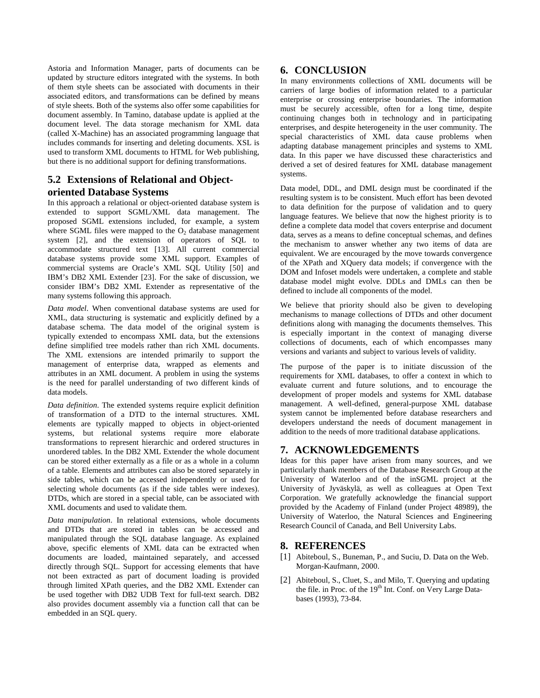Astoria and Information Manager, parts of documents can be updated by structure editors integrated with the systems. In both of them style sheets can be associated with documents in their associated editors, and transformations can be defined by means of style sheets. Both of the systems also offer some capabilities for document assembly. In Tamino, database update is applied at the document level. The data storage mechanism for XML data (called X-Machine) has an associated programming language that includes commands for inserting and deleting documents. XSL is used to transform XML documents to HTML for Web publishing, but there is no additional support for defining transformations.

# **5.2 Extensions of Relational and Objectoriented Database Systems**

In this approach a relational or object-oriented database system is extended to support SGML/XML data management. The proposed SGML extensions included, for example, a system where SGML files were mapped to the  $O<sub>2</sub>$  database management system [2], and the extension of operators of SQL to accommodate structured text [13]. All current commercial database systems provide some XML support. Examples of commercial systems are Oracle's XML SQL Utility [50] and IBM's DB2 XML Extender [23]. For the sake of discussion, we consider IBM's DB2 XML Extender as representative of the many systems following this approach.

*Data model*. When conventional database systems are used for XML, data structuring is systematic and explicitly defined by a database schema. The data model of the original system is typically extended to encompass XML data, but the extensions define simplified tree models rather than rich XML documents. The XML extensions are intended primarily to support the management of enterprise data, wrapped as elements and attributes in an XML document. A problem in using the systems is the need for parallel understanding of two different kinds of data models.

*Data definition*. The extended systems require explicit definition of transformation of a DTD to the internal structures. XML elements are typically mapped to objects in object-oriented systems, but relational systems require more elaborate transformations to represent hierarchic and ordered structures in unordered tables. In the DB2 XML Extender the whole document can be stored either externally as a file or as a whole in a column of a table. Elements and attributes can also be stored separately in side tables, which can be accessed independently or used for selecting whole documents (as if the side tables were indexes). DTDs, which are stored in a special table, can be associated with XML documents and used to validate them.

*Data manipulation*. In relational extensions, whole documents and DTDs that are stored in tables can be accessed and manipulated through the SQL database language. As explained above, specific elements of XML data can be extracted when documents are loaded, maintained separately, and accessed directly through SQL. Support for accessing elements that have not been extracted as part of document loading is provided through limited XPath queries, and the DB2 XML Extender can be used together with DB2 UDB Text for full-text search. DB2 also provides document assembly via a function call that can be embedded in an SQL query.

# **6. CONCLUSION**

In many environments collections of XML documents will be carriers of large bodies of information related to a particular enterprise or crossing enterprise boundaries. The information must be securely accessible, often for a long time, despite continuing changes both in technology and in participating enterprises, and despite heterogeneity in the user community. The special characteristics of XML data cause problems when adapting database management principles and systems to XML data. In this paper we have discussed these characteristics and derived a set of desired features for XML database management systems.

Data model, DDL, and DML design must be coordinated if the resulting system is to be consistent. Much effort has been devoted to data definition for the purpose of validation and to query language features. We believe that now the highest priority is to define a complete data model that covers enterprise and document data, serves as a means to define conceptual schemas, and defines the mechanism to answer whether any two items of data are equivalent. We are encouraged by the move towards convergence of the XPath and XQuery data models; if convergence with the DOM and Infoset models were undertaken, a complete and stable database model might evolve. DDLs and DMLs can then be defined to include all components of the model.

We believe that priority should also be given to developing mechanisms to manage collections of DTDs and other document definitions along with managing the documents themselves. This is especially important in the context of managing diverse collections of documents, each of which encompasses many versions and variants and subject to various levels of validity.

The purpose of the paper is to initiate discussion of the requirements for XML databases, to offer a context in which to evaluate current and future solutions, and to encourage the development of proper models and systems for XML database management. A well-defined, general-purpose XML database system cannot be implemented before database researchers and developers understand the needs of document management in addition to the needs of more traditional database applications.

# **7. ACKNOWLEDGEMENTS**

Ideas for this paper have arisen from many sources, and we particularly thank members of the Database Research Group at the University of Waterloo and of the inSGML project at the University of Jyväskylä, as well as colleagues at Open Text Corporation. We gratefully acknowledge the financial support provided by the Academy of Finland (under Project 48989), the University of Waterloo, the Natural Sciences and Engineering Research Council of Canada, and Bell University Labs.

# **8. REFERENCES**

- [1] Abiteboul, S., Buneman, P., and Suciu, D. Data on the Web. Morgan-Kaufmann, 2000.
- [2] Abiteboul, S., Cluet, S., and Milo, T. Querying and updating the file. in Proc. of the 19<sup>th</sup> Int. Conf. on Very Large Databases (1993), 73-84.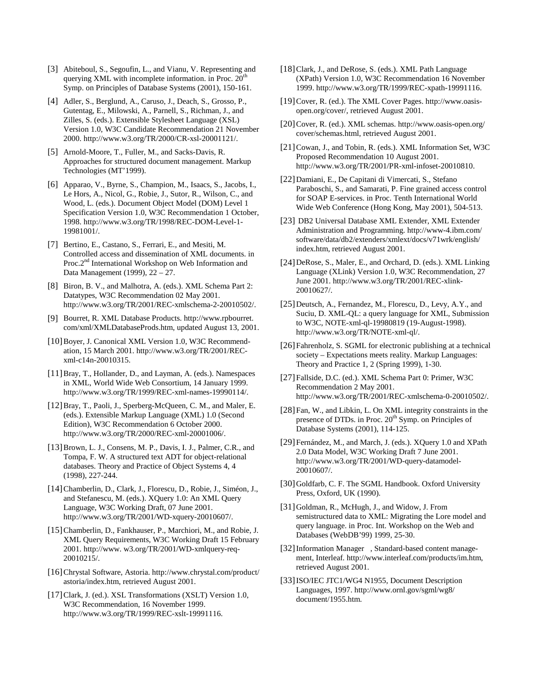- [3] Abiteboul, S., Segoufin, L., and Vianu, V. Representing and querying XML with incomplete information. in Proc.  $20<sup>th</sup>$ Symp. on Principles of Database Systems (2001), 150-161.
- [4] Adler, S., Berglund, A., Caruso, J., Deach, S., Grosso, P., Gutentag, E., Milowski, A., Parnell, S., Richman, J., and Zilles, S. (eds.). Extensible Stylesheet Language (XSL) Version 1.0, W3C Candidate Recommendation 21 November 2000. http://www.w3.org/TR/2000/CR-xsl-20001121/.
- [5] Arnold-Moore, T., Fuller, M., and Sacks-Davis, R. Approaches for structured document management. Markup Technologies (MT'1999).
- [6] Apparao, V., Byrne, S., Champion, M., Isaacs, S., Jacobs, I., Le Hors, A., Nicol, G., Robie, J., Sutor, R., Wilson, C., and Wood, L. (eds.). Document Object Model (DOM) Level 1 Specification Version 1.0, W3C Recommendation 1 October, 1998. http://www.w3.org/TR/1998/REC-DOM-Level-1- 19981001/.
- [7] Bertino, E., Castano, S., Ferrari, E., and Mesiti, M. Controlled access and dissemination of XML documents. in Proc.2<sup>nd</sup> International Workshop on Web Information and Data Management (1999), 22 – 27.
- [8] Biron, B. V., and Malhotra, A. (eds.). XML Schema Part 2: Datatypes, W3C Recommendation 02 May 2001. http://www.w3.org/TR/2001/REC-xmlschema-2-20010502/.
- [9] Bourret, R. XML Database Products. http://www.rpbourret. com/xml/XMLDatabaseProds.htm, updated August 13, 2001.
- [10] Boyer, J. Canonical XML Version 1.0, W3C Recommendation, 15 March 2001. http://www.w3.org/TR/2001/RECxml-c14n-20010315.
- [11] Bray, T., Hollander, D., and Layman, A. (eds.). Namespaces in XML, World Wide Web Consortium, 14 January 1999. http://www.w3.org/TR/1999/REC-xml-names-19990114/.
- [12]Bray, T., Paoli, J., Sperberg-McQueen, C. M., and Maler, E. (eds.). Extensible Markup Language (XML) 1.0 (Second Edition), W3C Recommendation 6 October 2000. http://www.w3.org/TR/2000/REC-xml-20001006/.
- [13]Brown, L. J., Consens, M. P., Davis, I. J., Palmer, C.R., and Tompa, F. W. A structured text ADT for object-relational databases. Theory and Practice of Object Systems 4, 4 (1998), 227-244.
- [14]Chamberlin, D., Clark, J., Florescu, D., Robie, J., Siméon, J., and Stefanescu, M. (eds.). XQuery 1.0: An XML Query Language, W3C Working Draft, 07 June 2001. http://www.w3.org/TR/2001/WD-xquery-20010607/.
- [15]Chamberlin, D., Fankhauser, P., Marchiori, M., and Robie, J. XML Query Requirements, W3C Working Draft 15 February 2001. http://www. w3.org/TR/2001/WD-xmlquery-req-20010215/.
- [16]Chrystal Software, Astoria. http://www.chrystal.com/product/ astoria/index.htm, retrieved August 2001.
- [17] Clark, J. (ed.). XSL Transformations (XSLT) Version 1.0, W3C Recommendation, 16 November 1999. http://www.w3.org/TR/1999/REC-xslt-19991116.
- [18]Clark, J., and DeRose, S. (eds.). XML Path Language (XPath) Version 1.0, W3C Recommendation 16 November 1999. http://www.w3.org/TR/1999/REC-xpath-19991116.
- [19]Cover, R. (ed.). The XML Cover Pages. http://www.oasisopen.org/cover/, retrieved August 2001.
- [20]Cover, R. (ed.). XML schemas. http://www.oasis-open.org/ cover/schemas.html, retrieved August 2001.
- [21]Cowan, J., and Tobin, R. (eds.). XML Information Set, W3C Proposed Recommendation 10 August 2001. http://www.w3.org/TR/2001/PR-xml-infoset-20010810.
- [22]Damiani, E., De Capitani di Vimercati, S., Stefano Paraboschi, S., and Samarati, P. Fine grained access control for SOAP E-services. in Proc. Tenth International World Wide Web Conference (Hong Kong, May 2001), 504-513.
- [23] DB2 Universal Database XML Extender, XML Extender Administration and Programming. http://www-4.ibm.com/ software/data/db2/extenders/xmlext/docs/v71wrk/english/ index.htm, retrieved August 2001.
- [24] DeRose, S., Maler, E., and Orchard, D. (eds.). XML Linking Language (XLink) Version 1.0, W3C Recommendation, 27 June 2001. http://www.w3.org/TR/2001/REC-xlink-20010627/.
- [25] Deutsch, A., Fernandez, M., Florescu, D., Levy, A.Y., and Suciu, D. XML-QL: a query language for XML, Submission to W3C, NOTE-xml-ql-19980819 (19-August-1998). http://www.w3.org/TR/NOTE-xml-ql/.
- [26] Fahrenholz, S. SGML for electronic publishing at a technical society – Expectations meets reality. Markup Languages: Theory and Practice 1, 2 (Spring 1999), 1-30.
- [27]Fallside, D.C. (ed.). XML Schema Part 0: Primer, W3C Recommendation 2 May 2001. http://www.w3.org/TR/2001/REC-xmlschema-0-20010502/.
- [28]Fan, W., and Libkin, L. On XML integrity constraints in the presence of DTDs. in Proc. 20<sup>th</sup> Symp. on Principles of Database Systems (2001), 114-125.
- [29] Fernández, M., and March, J. (eds.). XOuery 1.0 and XPath 2.0 Data Model, W3C Working Draft 7 June 2001. http://www.w3.org/TR/2001/WD-query-datamodel-20010607/.
- [30] Goldfarb, C. F. The SGML Handbook. Oxford University Press, Oxford, UK (1990).
- [31] Goldman, R., McHugh, J., and Widow, J. From semistructured data to XML: Migrating the Lore model and query language. in Proc. Int. Workshop on the Web and Databases (WebDB'99) 1999, 25-30.
- [32] Information Manager™, Standard-based content management, Interleaf. http://www.interleaf.com/products/im.htm, retrieved August 2001.
- [33]ISO/IEC JTC1/WG4 N1955, Document Description Languages, 1997. http://www.ornl.gov/sgml/wg8/ document/1955.htm.